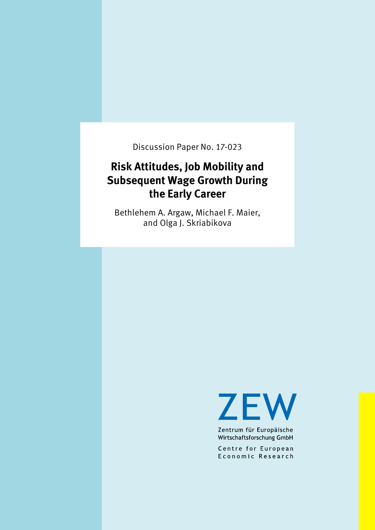Discussion Paper No. 17-023

# **Risk Attitudes, Job Mobility and Subsequent Wage Growth During the Early Career**

Bethlehem A. Argaw, Michael F. Maier, and Olga J. Skriabikova

**ZEW** 

Zentrum für Europäische Wirtschaftsforschung GmbH

Centre for European Economic Research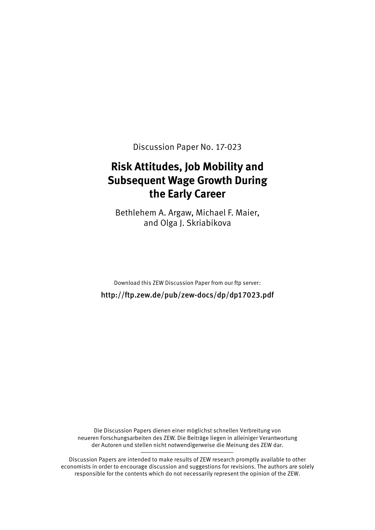Discussion Paper No. 17-023

## **Risk Attitudes, Job Mobility and Subsequent Wage Growth During the Early Career**

Bethlehem A. Argaw, Michael F. Maier, and Olga J. Skriabikova

Download this ZEW Discussion Paper from our ftp server:

http://ftp.zew.de/pub/zew-docs/dp/dp17023.pdf

Die Discussion Papers dienen einer möglichst schnellen Verbreitung von neueren Forschungsarbeiten des ZEW. Die Beiträge liegen in alleiniger Verantwortung der Autoren und stellen nicht notwendigerweise die Meinung des ZEW dar.

Discussion Papers are intended to make results of ZEW research promptly available to other economists in order to encourage discussion and suggestions for revisions. The authors are solely responsible for the contents which do not necessarily represent the opinion of the ZEW.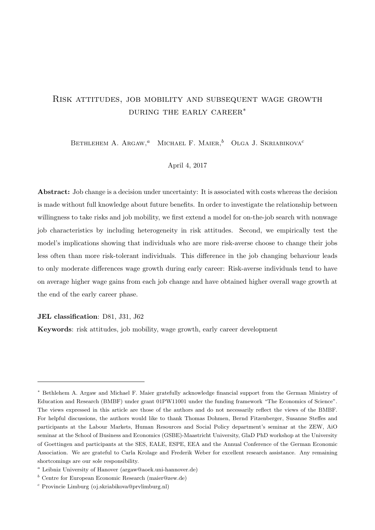## <span id="page-2-0"></span>Risk attitudes, job mobility and subsequent wage growth during the early career<sup>∗</sup>

BETHLEHEM A. ARGAW,<sup>a</sup> MICHAEL F. MAIER,<sup>b</sup> OLGA J. SKRIABIKOVA<sup>c</sup>

#### April 4, 2017

Abstract: Job change is a decision under uncertainty: It is associated with costs whereas the decision is made without full knowledge about future benefits. In order to investigate the relationship between willingness to take risks and job mobility, we first extend a model for on-the-job search with nonwage job characteristics by including heterogeneity in risk attitudes. Second, we empirically test the model's implications showing that individuals who are more risk-averse choose to change their jobs less often than more risk-tolerant individuals. This difference in the job changing behaviour leads to only moderate differences wage growth during early career: Risk-averse individuals tend to have on average higher wage gains from each job change and have obtained higher overall wage growth at the end of the early career phase.

#### JEL classification: D81, J31, J62

Keywords: risk attitudes, job mobility, wage growth, early career development

<sup>∗</sup> Bethlehem A. Argaw and Michael F. Maier gratefully acknowledge financial support from the German Ministry of Education and Research (BMBF) under grant 01PW11001 under the funding framework "The Economics of Science". The views expressed in this article are those of the authors and do not necessarily reflect the views of the BMBF. For helpful discussions, the authors would like to thank Thomas Dohmen, Bernd Fitzenberger, Susanne Steffes and participants at the Labour Markets, Human Resources and Social Policy department's seminar at the ZEW, AiO seminar at the School of Business and Economics (GSBE)-Maastricht University, GlaD PhD workshop at the University of Goettingen and participants at the SES, EALE, ESPE, EEA and the Annual Conference of the German Economic Association. We are grateful to Carla Krolage and Frederik Weber for excellent research assistance. Any remaining shortcomings are our sole responsibility.

 $a$  Leibniz University of Hanover (argaw@aoek.uni-hannover.de)

 $b$  Centre for European Economic Research (maier@zew.de)

 $c$  Provincie Limburg (oj.skriabikova@prvlimburg.nl)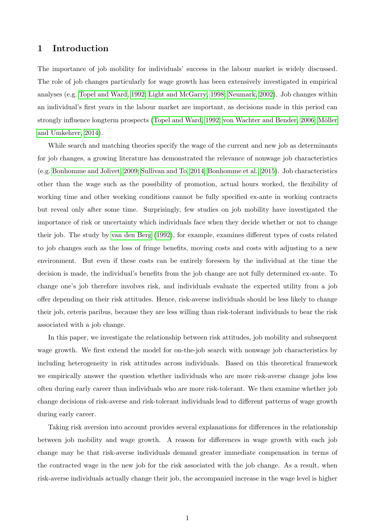### 1 Introduction

The importance of job mobility for individuals' success in the labour market is widely discussed. The role of job changes particularly for wage growth has been extensively investigated in empirical analyses (e.g. [Topel and Ward, 1992;](#page-23-0) [Light and McGarry, 1998;](#page-22-0) [Neumark, 2002\)](#page-22-1). Job changes within an individual's first years in the labour market are important, as decisions made in this period can strongly influence longterm prospects [\(Topel and Ward, 1992;](#page-23-0) [von Wachter and Bender, 2006;](#page-23-1) Möller [and Umkehrer, 2014\)](#page-22-2).

While search and matching theories specify the wage of the current and new job as determinants for job changes, a growing literature has demonstrated the relevance of nonwage job characteristics (e.g. [Bonhomme and Jolivet, 2009;](#page-21-0) [Sullivan and To, 2014;](#page-23-2) [Bonhomme et al., 2015\)](#page-21-1). Job characteristics other than the wage such as the possibility of promotion, actual hours worked, the flexibility of working time and other working conditions cannot be fully specified ex-ante in working contracts but reveal only after some time. Surprisingly, few studies on job mobility have investigated the importance of risk or uncertainty which individuals face when they decide whether or not to change their job. The study by [van den Berg](#page-23-3) [\(1992\)](#page-23-3), for example, examines different types of costs related to job changes such as the loss of fringe benefits, moving costs and costs with adjusting to a new environment. But even if these costs can be entirely foreseen by the individual at the time the decision is made, the individual's benefits from the job change are not fully determined ex-ante. To change one's job therefore involves risk, and individuals evaluate the expected utility from a job offer depending on their risk attitudes. Hence, risk-averse individuals should be less likely to change their job, ceteris paribus, because they are less willing than risk-tolerant individuals to bear the risk associated with a job change.

In this paper, we investigate the relationship between risk attitudes, job mobility and subsequent wage growth. We first extend the model for on-the-job search with nonwage job characteristics by including heterogeneity in risk attitudes across individuals. Based on this theoretical framework we empirically answer the question whether individuals who are more risk-averse change jobs less often during early career than individuals who are more risk-tolerant. We then examine whether job change decisions of risk-averse and risk-tolerant individuals lead to different patterns of wage growth during early career.

Taking risk aversion into account provides several explanations for differences in the relationship between job mobility and wage growth. A reason for differences in wage growth with each job change may be that risk-averse individuals demand greater immediate compensation in terms of the contracted wage in the new job for the risk associated with the job change. As a result, when risk-averse individuals actually change their job, the accompanied increase in the wage level is higher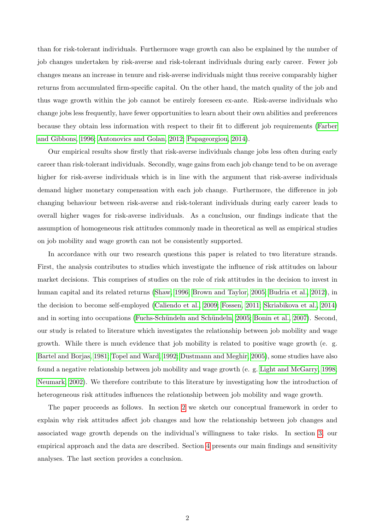than for risk-tolerant individuals. Furthermore wage growth can also be explained by the number of job changes undertaken by risk-averse and risk-tolerant individuals during early career. Fewer job changes means an increase in tenure and risk-averse individuals might thus receive comparably higher returns from accumulated firm-specific capital. On the other hand, the match quality of the job and thus wage growth within the job cannot be entirely foreseen ex-ante. Risk-averse individuals who change jobs less frequently, have fewer opportunities to learn about their own abilities and preferences because they obtain less information with respect to their fit to different job requirements [\(Farber](#page-22-3) [and Gibbons, 1996;](#page-22-3) [Antonovics and Golan, 2012;](#page-21-2) [Papageorgiou, 2014\)](#page-22-4).

Our empirical results show firstly that risk-averse individuals change jobs less often during early career than risk-tolerant individuals. Secondly, wage gains from each job change tend to be on average higher for risk-averse individuals which is in line with the argument that risk-averse individuals demand higher monetary compensation with each job change. Furthermore, the difference in job changing behaviour between risk-averse and risk-tolerant individuals during early career leads to overall higher wages for risk-averse individuals. As a conclusion, our findings indicate that the assumption of homogeneous risk attitudes commonly made in theoretical as well as empirical studies on job mobility and wage growth can not be consistently supported.

In accordance with our two research questions this paper is related to two literature strands. First, the analysis contributes to studies which investigate the influence of risk attitudes on labour market decisions. This comprises of studies on the role of risk attitudes in the decision to invest in human capital and its related returns [\(Shaw, 1996;](#page-23-4) [Brown and Taylor, 2005;](#page-21-3) [Budria et al., 2012\)](#page-21-4), in the decision to become self-employed [\(Caliendo et al., 2009;](#page-21-5) [Fossen, 2011;](#page-22-5) [Skriabikova et al., 2014\)](#page-23-5) and in sorting into occupations (Fuchs-Schündeln and Schündeln, 2005; [Bonin et al., 2007\)](#page-21-6). Second, our study is related to literature which investigates the relationship between job mobility and wage growth. While there is much evidence that job mobility is related to positive wage growth (e. g. [Bartel and Borjas, 1981;](#page-21-7) [Topel and Ward, 1992;](#page-23-0) [Dustmann and Meghir, 2005\)](#page-21-8), some studies have also found a negative relationship between job mobility and wage growth (e. g. [Light and McGarry, 1998;](#page-22-0) [Neumark, 2002\)](#page-22-1). We therefore contribute to this literature by investigating how the introduction of heterogeneous risk attitudes influences the relationship between job mobility and wage growth.

The paper proceeds as follows. In section [2](#page-5-0) we sketch our conceptual framework in order to explain why risk attitudes affect job changes and how the relationship between job changes and associated wage growth depends on the individual's willingness to take risks. In section [3,](#page-7-0) our empirical approach and the data are described. Section [4](#page-10-0) presents our main findings and sensitivity analyses. The last section provides a conclusion.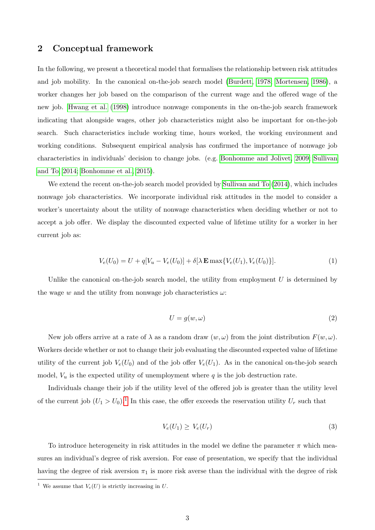### <span id="page-5-0"></span>2 Conceptual framework

In the following, we present a theoretical model that formalises the relationship between risk attitudes and job mobility. In the canonical on-the-job search model [\(Burdett, 1978;](#page-21-9) [Mortensen, 1986\)](#page-22-7), a worker changes her job based on the comparison of the current wage and the offered wage of the new job. [Hwang et al.](#page-22-8) [\(1998\)](#page-22-8) introduce nonwage components in the on-the-job search framework indicating that alongside wages, other job characteristics might also be important for on-the-job search. Such characteristics include working time, hours worked, the working environment and working conditions. Subsequent empirical analysis has confirmed the importance of nonwage job characteristics in individuals' decision to change jobs. (e.g. [Bonhomme and Jolivet, 2009;](#page-21-0) [Sullivan](#page-23-2) [and To, 2014;](#page-23-2) [Bonhomme et al., 2015\)](#page-21-1).

We extend the recent on-the-job search model provided by [Sullivan and To](#page-23-2) [\(2014\)](#page-23-2), which includes nonwage job characteristics. We incorporate individual risk attitudes in the model to consider a worker's uncertainty about the utility of nonwage characteristics when deciding whether or not to accept a job offer. We display the discounted expected value of lifetime utility for a worker in her current job as:

$$
V_e(U_0) = U + q[V_u - V_e(U_0)] + \delta[\lambda \mathbf{E} \max\{V_e(U_1), V_e(U_0)\}].
$$
\n(1)

Unlike the canonical on-the-job search model, the utility from employment  $U$  is determined by the wage w and the utility from nonwage job characteristics  $\omega$ :

$$
U = g(w, \omega) \tag{2}
$$

New job offers arrive at a rate of  $\lambda$  as a random draw  $(w, \omega)$  from the joint distribution  $F(w, \omega)$ . Workers decide whether or not to change their job evaluating the discounted expected value of lifetime utility of the current job  $V_e(U_0)$  and of the job offer  $V_e(U_1)$ . As in the canonical on-the-job search model,  $V_u$  is the expected utility of unemployment where q is the job destruction rate.

Individuals change their job if the utility level of the offered job is greater than the utility level of the current job  $(U_1 > U_0)^{1}$  $(U_1 > U_0)^{1}$  $(U_1 > U_0)^{1}$ . In this case, the offer exceeds the reservation utility  $U_r$  such that

$$
V_e(U_1) \ge V_e(U_r) \tag{3}
$$

To introduce heterogeneity in risk attitudes in the model we define the parameter  $\pi$  which measures an individual's degree of risk aversion. For ease of presentation, we specify that the individual having the degree of risk aversion  $\pi_1$  is more risk averse than the individual with the degree of risk

<sup>&</sup>lt;sup>1</sup> We assume that  $V_e(U)$  is strictly increasing in U.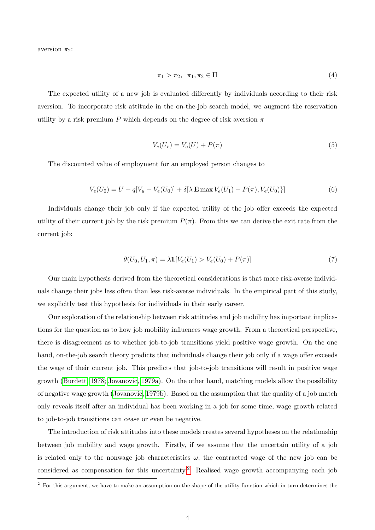aversion  $\pi_2$ :

$$
\pi_1 > \pi_2, \quad \pi_1, \pi_2 \in \Pi \tag{4}
$$

The expected utility of a new job is evaluated differently by individuals according to their risk aversion. To incorporate risk attitude in the on-the-job search model, we augment the reservation utility by a risk premium P which depends on the degree of risk aversion  $\pi$ 

$$
V_e(U_r) = V_e(U) + P(\pi)
$$
\n<sup>(5)</sup>

The discounted value of employment for an employed person changes to

$$
V_e(U_0) = U + q[V_u - V_e(U_0)] + \delta[\lambda \mathbf{E} \max V_e(U_1) - P(\pi), V_e(U_0)]
$$
\n(6)

Individuals change their job only if the expected utility of the job offer exceeds the expected utility of their current job by the risk premium  $P(\pi)$ . From this we can derive the exit rate from the current job:

$$
\theta(U_0, U_1, \pi) = \lambda \mathbb{1}[V_e(U_1) > V_e(U_0) + P(\pi)] \tag{7}
$$

Our main hypothesis derived from the theoretical considerations is that more risk-averse individuals change their jobs less often than less risk-averse individuals. In the empirical part of this study, we explicitly test this hypothesis for individuals in their early career.

Our exploration of the relationship between risk attitudes and job mobility has important implications for the question as to how job mobility influences wage growth. From a theoretical perspective, there is disagreement as to whether job-to-job transitions yield positive wage growth. On the one hand, on-the-job search theory predicts that individuals change their job only if a wage offer exceeds the wage of their current job. This predicts that job-to-job transitions will result in positive wage growth [\(Burdett, 1978;](#page-21-9) [Jovanovic, 1979a\)](#page-22-9). On the other hand, matching models allow the possibility of negative wage growth [\(Jovanovic, 1979b\)](#page-22-10). Based on the assumption that the quality of a job match only reveals itself after an individual has been working in a job for some time, wage growth related to job-to-job transitions can cease or even be negative.

The introduction of risk attitudes into these models creates several hypotheses on the relationship between job mobility and wage growth. Firstly, if we assume that the uncertain utility of a job is related only to the nonwage job characteristics  $\omega$ , the contracted wage of the new job can be considered as compensation for this uncertainty.<sup>[2](#page-2-0)</sup> Realised wage growth accompanying each job

 $2$  For this argument, we have to make an assumption on the shape of the utility function which in turn determines the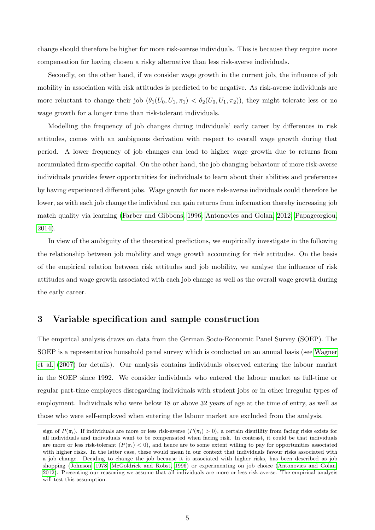change should therefore be higher for more risk-averse individuals. This is because they require more compensation for having chosen a risky alternative than less risk-averse individuals.

Secondly, on the other hand, if we consider wage growth in the current job, the influence of job mobility in association with risk attitudes is predicted to be negative. As risk-averse individuals are more reluctant to change their job  $(\theta_1(U_0, U_1, \pi_1) < \theta_2(U_0, U_1, \pi_2))$ , they might tolerate less or no wage growth for a longer time than risk-tolerant individuals.

Modelling the frequency of job changes during individuals' early career by differences in risk attitudes, comes with an ambiguous derivation with respect to overall wage growth during that period. A lower frequency of job changes can lead to higher wage growth due to returns from accumulated firm-specific capital. On the other hand, the job changing behaviour of more risk-averse individuals provides fewer opportunities for individuals to learn about their abilities and preferences by having experienced different jobs. Wage growth for more risk-averse individuals could therefore be lower, as with each job change the individual can gain returns from information thereby increasing job match quality via learning [\(Farber and Gibbons, 1996;](#page-22-3) [Antonovics and Golan, 2012;](#page-21-2) [Papageorgiou,](#page-22-4) [2014\)](#page-22-4).

In view of the ambiguity of the theoretical predictions, we empirically investigate in the following the relationship between job mobility and wage growth accounting for risk attitudes. On the basis of the empirical relation between risk attitudes and job mobility, we analyse the influence of risk attitudes and wage growth associated with each job change as well as the overall wage growth during the early career.

#### <span id="page-7-0"></span>3 Variable specification and sample construction

The empirical analysis draws on data from the German Socio-Economic Panel Survey (SOEP). The SOEP is a representative household panel survey which is conducted on an annual basis (see [Wagner](#page-23-6) [et al.](#page-23-6) [\(2007\)](#page-23-6) for details). Our analysis contains individuals observed entering the labour market in the SOEP since 1992. We consider individuals who entered the labour market as full-time or regular part-time employees disregarding individuals with student jobs or in other irregular types of employment. Individuals who were below 18 or above 32 years of age at the time of entry, as well as those who were self-employed when entering the labour market are excluded from the analysis.

sign of  $P(\pi_i)$ . If individuals are more or less risk-averse  $(P(\pi_i) > 0)$ , a certain disutility from facing risks exists for all individuals and individuals want to be compensated when facing risk. In contrast, it could be that individuals are more or less risk-tolerant  $(P(\pi_i) < 0)$ , and hence are to some extent willing to pay for opportunities associated with higher risks. In the latter case, these would mean in our context that individuals favour risks associated with a job change. Deciding to change the job because it is associated with higher risks, has been described as job shopping [\(Johnson, 1978;](#page-22-11) [McGoldrick and Robst, 1996\)](#page-22-12) or experimenting on job choice [\(Antonovics and Golan,](#page-21-2) [2012\)](#page-21-2). Presenting our reasoning we assume that all individuals are more or less risk-averse. The empirical analysis will test this assumption.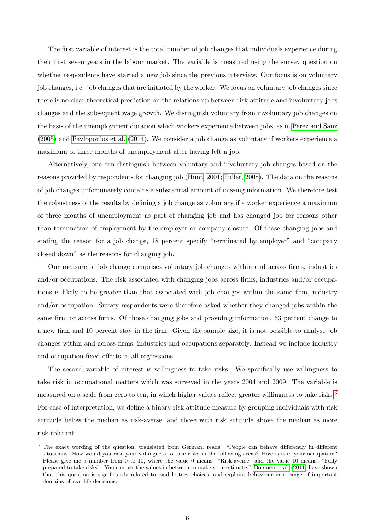The first variable of interest is the total number of job changes that individuals experience during their first seven years in the labour market. The variable is measured using the survey question on whether respondents have started a new job since the previous interview. Our focus is on voluntary job changes, i.e. job changes that are initiated by the worker. We focus on voluntary job changes since there is no clear theoretical prediction on the relationship between risk attitude and involuntary jobs changes and the subsequent wage growth. We distinguish voluntary from involuntary job changes on the basis of the unemployment duration which workers experience between jobs, as in [Perez and Sanz](#page-22-13) [\(2005\)](#page-22-13) and [Pavlopoulos et al.](#page-22-14) [\(2014\)](#page-22-14). We consider a job change as voluntary if workers experience a maximum of three months of unemployment after having left a job.

Alternatively, one can distinguish between voluntary and involuntary job changes based on the reasons provided by respondents for changing job [\(Hunt, 2001;](#page-22-15) [Fuller, 2008\)](#page-22-16). The data on the reasons of job changes unfortunately contains a substantial amount of missing information. We therefore test the robustness of the results by defining a job change as voluntary if a worker experience a maximum of three months of unemployment as part of changing job and has changed job for reasons other than termination of employment by the employer or company closure. Of those changing jobs and stating the reason for a job change, 18 percent specify "terminated by employer" and "company closed down" as the reasons for changing job.

Our measure of job change comprises voluntary job changes within and across firms, industries and/or occupations. The risk associated with changing jobs across firms, industries and/or occupations is likely to be greater than that associated with job changes within the same firm, industry and/or occupation. Survey respondents were therefore asked whether they changed jobs within the same firm or across firms. Of those changing jobs and providing information, 63 percent change to a new firm and 10 percent stay in the firm. Given the sample size, it is not possible to analyse job changes within and across firms, industries and occupations separately. Instead we include industry and occupation fixed effects in all regressions.

The second variable of interest is willingness to take risks. We specifically use willingness to take risk in occupational matters which was surveyed in the years 2004 and 2009. The variable is measured on a scale from zero to ten, in which higher values reflect greater willingness to take risks.<sup>[3](#page-2-0)</sup> For ease of interpretation, we define a binary risk attitude measure by grouping individuals with risk attitude below the median as risk-averse, and those with risk attitude above the median as more risk-tolerant.

<sup>&</sup>lt;sup>3</sup> The exact wording of the question, translated from German, reads: "People can behave differently in different situations. How would you rate your willingness to take risks in the following areas? How is it in your occupation? Please give me a number from 0 to 10, where the value 0 means: "Risk-averse" and the value 10 means: "Fully prepared to take risks". You can use the values in between to make your estimate." [Dohmen et al.](#page-21-10) [\(2011\)](#page-21-10) have shown that this question is significantly related to paid lottery choices, and explains behaviour in a range of important domains of real life decisions.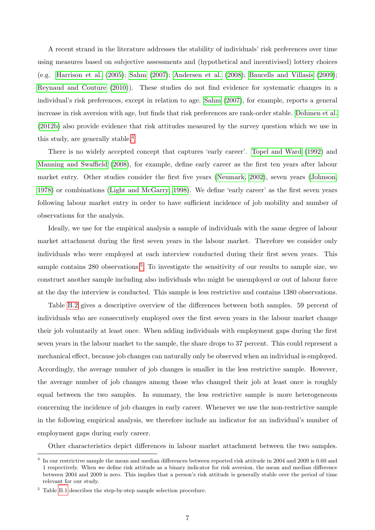A recent strand in the literature addresses the stability of individuals' risk preferences over time using measures based on subjective assessments and (hypothetical and incentivised) lottery choices (e.g. [Harrison et al.](#page-22-17)  $(2005)$ ; [Sahm](#page-23-7)  $(2007)$ ; [Andersen et al.](#page-21-11)  $(2008)$ ; Baucells and Villasis  $(2009)$ ; [Reynaud and Couture](#page-23-8) [\(2010\)](#page-23-8)). These studies do not find evidence for systematic changes in a individual's risk preferences, except in relation to age. [Sahm](#page-23-7) [\(2007\)](#page-23-7), for example, reports a general increase in risk aversion with age, but finds that risk preferences are rank-order stable. [Dohmen et al.](#page-21-13) [\(2012b\)](#page-21-13) also provide evidence that risk attitudes measured by the survey question which we use in this study, are generally stable.<sup>[4](#page-2-0)</sup>

There is no widely accepted concept that captures 'early career'. [Topel and Ward](#page-23-0) [\(1992\)](#page-23-0) and [Manning and Swaffield](#page-22-18) [\(2008\)](#page-22-18), for example, define early career as the first ten years after labour market entry. Other studies consider the first five years [\(Neumark, 2002\)](#page-22-1), seven years [\(Johnson,](#page-22-11) [1978\)](#page-22-11) or combinations [\(Light and McGarry, 1998\)](#page-22-0). We define 'early career' as the first seven years following labour market entry in order to have sufficient incidence of job mobility and number of observations for the analysis.

Ideally, we use for the empirical analysis a sample of individuals with the same degree of labour market attachment during the first seven years in the labour market. Therefore we consider only individuals who were employed at each interview conducted during their first seven years. This sample contains 280 observations.<sup>[5](#page-2-0)</sup> To investigate the sensitivity of our results to sample size, we construct another sample including also individuals who might be unemployed or out of labour force at the day the interview is conducted. This sample is less restrictive and contains 1380 observations.

Table [B.2](#page-25-0) gives a descriptive overview of the differences between both samples. 59 percent of individuals who are consecutively employed over the first seven years in the labour market change their job voluntarily at least once. When adding individuals with employment gaps during the first seven years in the labour market to the sample, the share drops to 37 percent. This could represent a mechanical effect, because job changes can naturally only be observed when an individual is employed. Accordingly, the average number of job changes is smaller in the less restrictive sample. However, the average number of job changes among those who changed their job at least once is roughly equal between the two samples. In summary, the less restrictive sample is more heterogeneous concerning the incidence of job changes in early career. Whenever we use the non-restrictive sample in the following empirical analysis, we therefore include an indicator for an individual's number of employment gaps during early career.

Other characteristics depict differences in labour market attachment between the two samples.

<sup>&</sup>lt;sup>4</sup> In our restrictive sample the mean and median differences between reported risk attitude in 2004 and 2009 is 0.60 and 1 respectively. When we define risk attitude as a binary indicator for risk aversion, the mean and median difference between 2004 and 2009 is zero. This implies that a person's risk attitude is generally stable over the period of time relevant for our study.

 $^5\,$  Table [B.1](#page-24-0) describes the step-by-step sample selection procedure.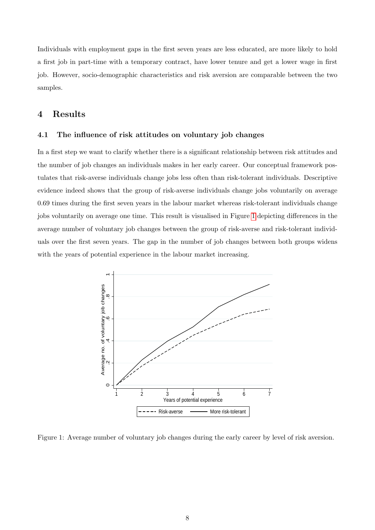Individuals with employment gaps in the first seven years are less educated, are more likely to hold a first job in part-time with a temporary contract, have lower tenure and get a lower wage in first job. However, socio-demographic characteristics and risk aversion are comparable between the two samples.

### <span id="page-10-0"></span>4 Results

#### <span id="page-10-2"></span>4.1 The influence of risk attitudes on voluntary job changes

In a first step we want to clarify whether there is a significant relationship between risk attitudes and the number of job changes an individuals makes in her early career. Our conceptual framework postulates that risk-averse individuals change jobs less often than risk-tolerant individuals. Descriptive evidence indeed shows that the group of risk-averse individuals change jobs voluntarily on average 0.69 times during the first seven years in the labour market whereas risk-tolerant individuals change jobs voluntarily on average one time. This result is visualised in Figure [1](#page-10-1) depicting differences in the average number of voluntary job changes between the group of risk-averse and risk-tolerant individuals over the first seven years. The gap in the number of job changes between both groups widens with the years of potential experience in the labour market increasing.

<span id="page-10-1"></span>

Figure 1: Average number of voluntary job changes during the early career by level of risk aversion.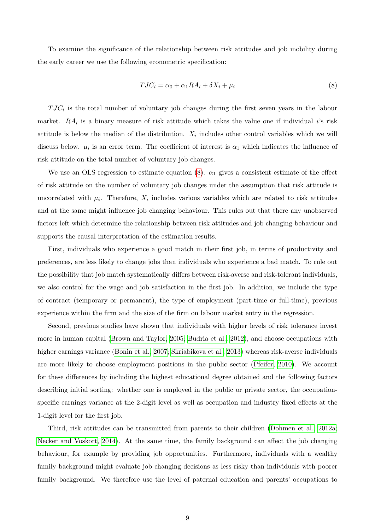To examine the significance of the relationship between risk attitudes and job mobility during the early career we use the following econometric specification:

<span id="page-11-0"></span>
$$
TJC_i = \alpha_0 + \alpha_1 RA_i + \delta X_i + \mu_i \tag{8}
$$

 $TJC_i$  is the total number of voluntary job changes during the first seven years in the labour market.  $RA_i$  is a binary measure of risk attitude which takes the value one if individual *i*'s risk attitude is below the median of the distribution.  $X_i$  includes other control variables which we will discuss below.  $\mu_i$  is an error term. The coefficient of interest is  $\alpha_1$  which indicates the influence of risk attitude on the total number of voluntary job changes.

We use an OLS regression to estimate equation [\(8\)](#page-11-0).  $\alpha_1$  gives a consistent estimate of the effect of risk attitude on the number of voluntary job changes under the assumption that risk attitude is uncorrelated with  $\mu_i$ . Therefore,  $X_i$  includes various variables which are related to risk attitudes and at the same might influence job changing behaviour. This rules out that there any unobserved factors left which determine the relationship between risk attitudes and job changing behaviour and supports the causal interpretation of the estimation results.

First, individuals who experience a good match in their first job, in terms of productivity and preferences, are less likely to change jobs than individuals who experience a bad match. To rule out the possibility that job match systematically differs between risk-averse and risk-tolerant individuals, we also control for the wage and job satisfaction in the first job. In addition, we include the type of contract (temporary or permanent), the type of employment (part-time or full-time), previous experience within the firm and the size of the firm on labour market entry in the regression.

Second, previous studies have shown that individuals with higher levels of risk tolerance invest more in human capital [\(Brown and Taylor, 2005;](#page-21-3) [Budria et al., 2012\)](#page-21-4), and choose occupations with higher earnings variance [\(Bonin et al., 2007;](#page-21-6) [Skriabikova et al., 2013\)](#page-23-9) whereas risk-averse individuals are more likely to choose employment positions in the public sector [\(Pfeifer, 2010\)](#page-23-10). We account for these differences by including the highest educational degree obtained and the following factors describing initial sorting: whether one is employed in the public or private sector, the occupationspecific earnings variance at the 2-digit level as well as occupation and industry fixed effects at the 1-digit level for the first job.

Third, risk attitudes can be transmitted from parents to their children [\(Dohmen et al., 2012a;](#page-21-14) [Necker and Voskort, 2014\)](#page-22-19). At the same time, the family background can affect the job changing behaviour, for example by providing job opportunities. Furthermore, individuals with a wealthy family background might evaluate job changing decisions as less risky than individuals with poorer family background. We therefore use the level of paternal education and parents' occupations to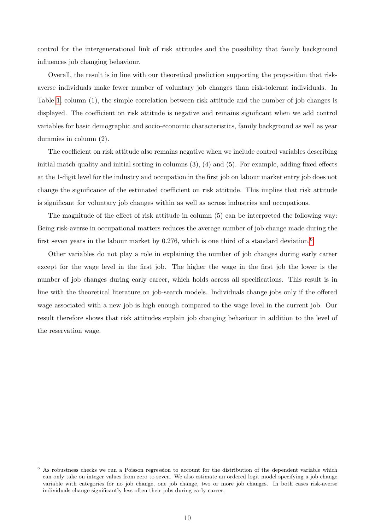control for the intergenerational link of risk attitudes and the possibility that family background influences job changing behaviour.

Overall, the result is in line with our theoretical prediction supporting the proposition that riskaverse individuals make fewer number of voluntary job changes than risk-tolerant individuals. In Table [1,](#page-13-0) column (1), the simple correlation between risk attitude and the number of job changes is displayed. The coefficient on risk attitude is negative and remains significant when we add control variables for basic demographic and socio-economic characteristics, family background as well as year dummies in column (2).

The coefficient on risk attitude also remains negative when we include control variables describing initial match quality and initial sorting in columns (3), (4) and (5). For example, adding fixed effects at the 1-digit level for the industry and occupation in the first job on labour market entry job does not change the significance of the estimated coefficient on risk attitude. This implies that risk attitude is significant for voluntary job changes within as well as across industries and occupations.

The magnitude of the effect of risk attitude in column (5) can be interpreted the following way: Being risk-averse in occupational matters reduces the average number of job change made during the first seven years in the labour market by 0.27[6](#page-2-0), which is one third of a standard deviation.<sup>6</sup>

Other variables do not play a role in explaining the number of job changes during early career except for the wage level in the first job. The higher the wage in the first job the lower is the number of job changes during early career, which holds across all specifications. This result is in line with the theoretical literature on job-search models. Individuals change jobs only if the offered wage associated with a new job is high enough compared to the wage level in the current job. Our result therefore shows that risk attitudes explain job changing behaviour in addition to the level of the reservation wage.

<sup>6</sup> As robustness checks we run a Poisson regression to account for the distribution of the dependent variable which can only take on integer values from zero to seven. We also estimate an ordered logit model specifying a job change variable with categories for no job change, one job change, two or more job changes. In both cases risk-averse individuals change significantly less often their jobs during early career.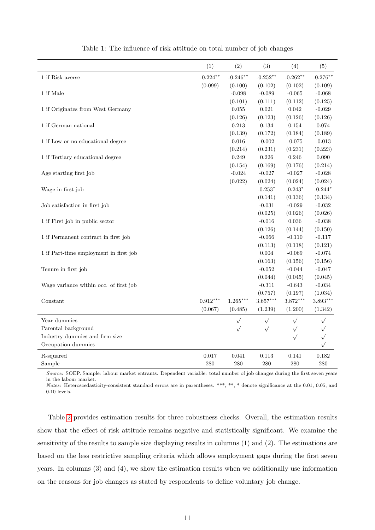<span id="page-13-0"></span>

|                                        | (1)         | (2)        | (3)         | (4)         | (5)        |
|----------------------------------------|-------------|------------|-------------|-------------|------------|
| 1 if Risk-averse                       | $-0.224***$ | $-0.246**$ | $-0.252**$  | $-0.262**$  | $-0.276**$ |
|                                        | (0.099)     | (0.100)    | (0.102)     | (0.102)     | (0.109)    |
| 1 if Male                              |             | $-0.098$   | $-0.089$    | $-0.065$    | $-0.068$   |
|                                        |             | (0.101)    | (0.111)     | (0.112)     | (0.125)    |
| 1 if Originates from West Germany      |             | 0.055      | $\,0.021\,$ | $\,0.042\,$ | $-0.029$   |
|                                        |             | (0.126)    | (0.123)     | (0.126)     | (0.126)    |
| 1 if German national                   |             | 0.213      | 0.134       | 0.154       | 0.074      |
|                                        |             | (0.139)    | (0.172)     | (0.184)     | (0.189)    |
| 1 if Low or no educational degree      |             | $0.016\,$  | $-0.002$    | $-0.075$    | $-0.013$   |
|                                        |             | (0.214)    | (0.231)     | (0.231)     | (0.223)    |
| 1 if Tertiary educational degree       |             | 0.249      | 0.226       | 0.246       | 0.090      |
|                                        |             | (0.154)    | (0.169)     | (0.176)     | (0.214)    |
| Age starting first job                 |             | $-0.024$   | $-0.027$    | $-0.027$    | $-0.028$   |
|                                        |             | (0.022)    | (0.024)     | (0.024)     | (0.024)    |
| Wage in first job                      |             |            | $-0.253*$   | $-0.243*$   | $-0.244*$  |
|                                        |             |            | (0.141)     | (0.136)     | (0.134)    |
| Job satisfaction in first job          |             |            | $-0.031$    | $-0.029$    | $-0.032$   |
|                                        |             |            | (0.025)     | (0.026)     | (0.026)    |
| 1 if First job in public sector        |             |            | $-0.016$    | $\,0.036\,$ | $-0.038$   |
|                                        |             |            | (0.126)     | (0.144)     | (0.150)    |
| 1 if Permanent contract in first job   |             |            | $-0.066$    | $-0.110$    | $-0.117$   |
|                                        |             |            | (0.113)     | (0.118)     | (0.121)    |
| 1 if Part-time employment in first job |             |            | 0.004       | $-0.069$    | $-0.074$   |
|                                        |             |            | (0.163)     | (0.156)     | (0.156)    |
| Tenure in first job                    |             |            | $-0.052$    | $-0.044$    | $-0.047$   |
|                                        |             |            | (0.044)     | (0.045)     | (0.045)    |
| Wage variance within occ. of first job |             |            | $-0.311$    | $-0.643$    | $-0.034$   |
|                                        |             |            | (0.757)     | (0.197)     | (1.034)    |
| Constant                               | $0.912***$  | $1.265***$ | $3.657***$  | $3.872***$  | $3.893***$ |
|                                        | (0.067)     | (0.485)    | (1.239)     | (1.200)     | (1.342)    |
| Year dummies                           |             | $\sqrt{}$  | $\sqrt{}$   | $\sqrt{}$   | $\sqrt{}$  |
| Parental background                    |             | $\sqrt{}$  | $\sqrt{}$   | $\sqrt{}$   | $\sqrt{}$  |
| Industry dummies and firm size         |             |            |             | $\sqrt{}$   | $\sqrt{}$  |
| Occupation dummies                     |             |            |             |             | $\sqrt{}$  |
| R-squared                              | 0.017       | 0.041      | 0.113       | 0.141       | 0.182      |
| Sample                                 | 280         | 280        | 280         | 280         | 280        |

Table 1: The influence of risk attitude on total number of job changes

Source: SOEP. Sample: labour market entrants. Dependent variable: total number of job changes during the first seven years in the labour market.

Notes: Heteroscedasticity-consistent standard errors are in parentheses. \*\*\*, \*\*, \* denote significance at the 0.01, 0.05, and 0.10 levels.

Table [2](#page-14-0) provides estimation results for three robustness checks. Overall, the estimation results show that the effect of risk attitude remains negative and statistically significant. We examine the sensitivity of the results to sample size displaying results in columns (1) and (2). The estimations are based on the less restrictive sampling criteria which allows employment gaps during the first seven years. In columns (3) and (4), we show the estimation results when we additionally use information on the reasons for job changes as stated by respondents to define voluntary job change.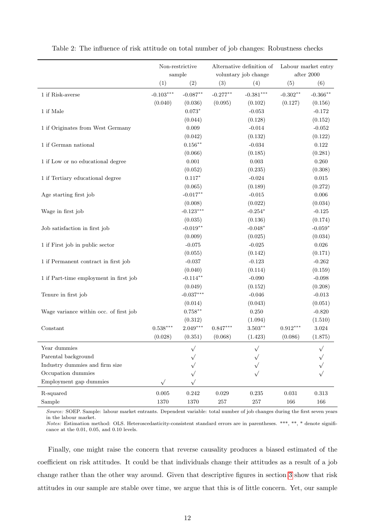|                                        | Non-restrictive<br>sample |                    |             | Alternative definition of<br>voluntary job change | Labour market entry<br>after $2000\,$ |             |  |
|----------------------------------------|---------------------------|--------------------|-------------|---------------------------------------------------|---------------------------------------|-------------|--|
|                                        | (1)                       | (2)                | (3)         | (4)                                               | (5)                                   | (6)         |  |
| 1 if Risk-averse                       | $-0.103***$               | $-0.087**$         | $-0.277**$  | $-0.381***$                                       | $-0.302**$                            | $-0.366**$  |  |
|                                        | (0.040)                   | (0.036)            | (0.095)     | (0.102)                                           | (0.127)                               | (0.156)     |  |
| $1$ if $\rm Male$                      |                           | $0.073*$           |             | $-0.053$                                          |                                       | $-0.172$    |  |
|                                        |                           | (0.044)            |             | (0.128)                                           |                                       | (0.152)     |  |
| 1 if Originates from West Germany      |                           | $\,0.009\,$        |             | $-0.014$                                          |                                       | $-0.052$    |  |
|                                        |                           | (0.042)            |             | (0.132)                                           |                                       | (0.122)     |  |
| 1 if German national                   |                           | $0.156^{\ast\ast}$ |             | $-0.034$                                          |                                       | $0.122\,$   |  |
|                                        |                           | (0.066)            |             | (0.185)                                           |                                       | (0.281)     |  |
| 1 if Low or no educational degree      |                           | $0.001\,$          |             | $0.003\,$                                         |                                       | 0.260       |  |
|                                        |                           | (0.052)            |             | (0.235)                                           |                                       | (0.308)     |  |
| 1 if Tertiary educational degree       |                           | $0.117*$           |             | $-0.024$                                          |                                       | $\,0.015\,$ |  |
|                                        |                           | (0.065)            |             | (0.189)                                           |                                       | (0.272)     |  |
| Age starting first job                 |                           | $-0.017***$        |             | $-0.015$                                          |                                       | 0.006       |  |
|                                        |                           | (0.008)            |             | (0.022)                                           |                                       | (0.034)     |  |
| Wage in first job                      |                           | $-0.123***$        |             | $-0.254*$                                         |                                       | $-0.125$    |  |
|                                        |                           | (0.035)            |             | (0.136)                                           |                                       | (0.174)     |  |
| Job satisfaction in first job          |                           | $-0.019**$         |             | $-0.048*$                                         |                                       | $-0.059*$   |  |
|                                        |                           | (0.009)            |             | (0.025)                                           |                                       | (0.034)     |  |
| 1 if First job in public sector        |                           | $-0.075$           |             | $-0.025$                                          |                                       | $0.026\,$   |  |
|                                        |                           | (0.055)            |             | (0.142)                                           |                                       | (0.171)     |  |
| 1 if Permanent contract in first job   |                           | $-0.037$           |             | $-0.123$                                          |                                       | $-0.262$    |  |
|                                        |                           | (0.040)            |             | (0.114)                                           |                                       | (0.159)     |  |
| 1 if Part-time employment in first job |                           | $-0.114***$        |             | $-0.090$                                          |                                       | $-0.098$    |  |
|                                        |                           | (0.049)            |             | (0.152)                                           |                                       | (0.208)     |  |
| Tenure in first job                    |                           | $-0.037***$        |             | $-0.046$                                          |                                       | $-0.013$    |  |
|                                        |                           | (0.014)            |             | (0.043)                                           |                                       | (0.051)     |  |
| Wage variance within occ. of first job |                           | $0.758***$         |             | 0.250                                             |                                       | $-0.820$    |  |
|                                        |                           | (0.312)            |             | (1.094)                                           |                                       | (1.510)     |  |
| Constant                               | $0.538***$                | $2.049***$         | $0.847***$  | $3.503***$                                        | $0.912***$                            | $3.024\,$   |  |
|                                        | (0.028)                   | (0.351)            | (0.068)     | (1.423)                                           | (0.086)                               | (1.875)     |  |
| Year dummies                           |                           |                    |             |                                                   |                                       |             |  |
| Parental background                    |                           |                    |             |                                                   |                                       |             |  |
| Industry dummies and firm size         |                           |                    |             |                                                   |                                       |             |  |
| Occupation dummies                     |                           |                    |             |                                                   |                                       |             |  |
| Employment gap dummies                 | $\sqrt{}$                 |                    |             |                                                   |                                       |             |  |
| R-squared                              | 0.005                     | 0.242              | $\,0.029\,$ | $0.235\,$                                         | $\,0.031\,$                           | $\rm 0.313$ |  |
| Sample                                 | 1370                      | 1370               | $257\,$     | $257\,$                                           | $166\,$                               | 166         |  |

<span id="page-14-0"></span>Table 2: The influence of risk attitude on total number of job changes: Robustness checks

Source: SOEP. Sample: labour market entrants. Dependent variable: total number of job changes during the first seven years in the labour market.

Notes: Estimation method: OLS. Heteroscedasticity-consistent standard errors are in parentheses. \*\*\*, \*\*, \* denote significance at the 0.01, 0.05, and 0.10 levels.

Finally, one might raise the concern that reverse causality produces a biased estimated of the coefficient on risk attitudes. It could be that individuals change their attitudes as a result of a job change rather than the other way around. Given that descriptive figures in section [3](#page-7-0) show that risk attitudes in our sample are stable over time, we argue that this is of little concern. Yet, our sample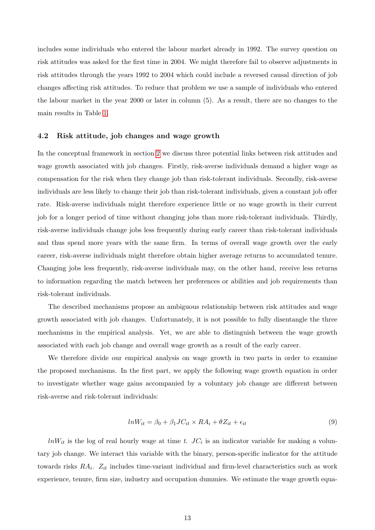includes some individuals who entered the labour market already in 1992. The survey question on risk attitudes was asked for the first time in 2004. We might therefore fail to observe adjustments in risk attitudes through the years 1992 to 2004 which could include a reversed causal direction of job changes affecting risk attitudes. To reduce that problem we use a sample of individuals who entered the labour market in the year 2000 or later in column (5). As a result, there are no changes to the main results in Table [1.](#page-13-0)

#### 4.2 Risk attitude, job changes and wage growth

In the conceptual framework in section [2](#page-5-0) we discuss three potential links between risk attitudes and wage growth associated with job changes. Firstly, risk-averse individuals demand a higher wage as compensation for the risk when they change job than risk-tolerant individuals. Secondly, risk-averse individuals are less likely to change their job than risk-tolerant individuals, given a constant job offer rate. Risk-averse individuals might therefore experience little or no wage growth in their current job for a longer period of time without changing jobs than more risk-tolerant individuals. Thirdly, risk-averse individuals change jobs less frequently during early career than risk-tolerant individuals and thus spend more years with the same firm. In terms of overall wage growth over the early career, risk-averse individuals might therefore obtain higher average returns to accumulated tenure. Changing jobs less frequently, risk-averse individuals may, on the other hand, receive less returns to information regarding the match between her preferences or abilities and job requirements than risk-tolerant individuals.

The described mechanisms propose an ambiguous relationship between risk attitudes and wage growth associated with job changes. Unfortunately, it is not possible to fully disentangle the three mechanisms in the empirical analysis. Yet, we are able to distinguish between the wage growth associated with each job change and overall wage growth as a result of the early career.

We therefore divide our empirical analysis on wage growth in two parts in order to examine the proposed mechanisms. In the first part, we apply the following wage growth equation in order to investigate whether wage gains accompanied by a voluntary job change are different between risk-averse and risk-tolerant individuals:

<span id="page-15-0"></span>
$$
lnW_{it} = \beta_0 + \beta_1 JC_{it} \times RA_i + \theta Z_{it} + \epsilon_{it}
$$
\n
$$
(9)
$$

 $lnW_{it}$  is the log of real hourly wage at time t.  $JC_i$  is an indicator variable for making a voluntary job change. We interact this variable with the binary, person-specific indicator for the attitude towards risks  $RA_i$ .  $Z_{it}$  includes time-variant individual and firm-level characteristics such as work experience, tenure, firm size, industry and occupation dummies. We estimate the wage growth equa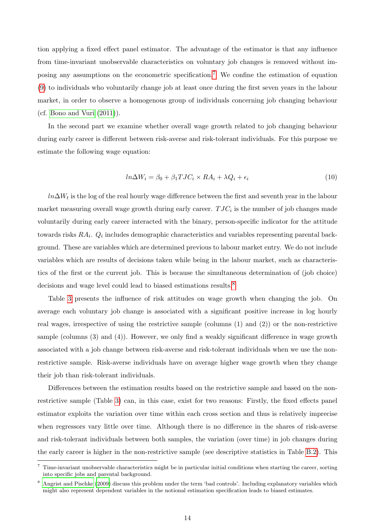tion applying a fixed effect panel estimator. The advantage of the estimator is that any influence from time-invariant unobservable characteristics on voluntary job changes is removed without im-posing any assumptions on the econometric specification.<sup>[7](#page-2-0)</sup> We confine the estimation of equation [\(9\)](#page-15-0) to individuals who voluntarily change job at least once during the first seven years in the labour market, in order to observe a homogenous group of individuals concerning job changing behaviour (cf. [Bono and Vuri](#page-21-15) [\(2011\)](#page-21-15)).

In the second part we examine whether overall wage growth related to job changing behaviour during early career is different between risk-averse and risk-tolerant individuals. For this purpose we estimate the following wage equation:

$$
ln\Delta W_i = \beta_0 + \beta_1 TJC_i \times RA_i + \lambda Q_i + \epsilon_i
$$
\n<sup>(10)</sup>

 $ln \Delta W_t$  is the log of the real hourly wage difference between the first and seventh year in the labour market measuring overall wage growth during early career.  $TJC_i$  is the number of job changes made voluntarily during early career interacted with the binary, person-specific indicator for the attitude towards risks  $RA_i$ .  $Q_i$  includes demographic characteristics and variables representing parental background. These are variables which are determined previous to labour market entry. We do not include variables which are results of decisions taken while being in the labour market, such as characteristics of the first or the current job. This is because the simultaneous determination of (job choice) decisions and wage level could lead to biased estimations results.<sup>[8](#page-2-0)</sup>

Table [3](#page-17-0) presents the influence of risk attitudes on wage growth when changing the job. On average each voluntary job change is associated with a significant positive increase in log hourly real wages, irrespective of using the restrictive sample (columns (1) and (2)) or the non-restrictive sample (columns (3) and (4)). However, we only find a weakly significant difference in wage growth associated with a job change between risk-averse and risk-tolerant individuals when we use the nonrestrictive sample. Risk-averse individuals have on average higher wage growth when they change their job than risk-tolerant individuals.

Differences between the estimation results based on the restrictive sample and based on the nonrestrictive sample (Table [3\)](#page-17-0) can, in this case, exist for two reasons: Firstly, the fixed effects panel estimator exploits the variation over time within each cross section and thus is relatively imprecise when regressors vary little over time. Although there is no difference in the shares of risk-averse and risk-tolerant individuals between both samples, the variation (over time) in job changes during the early career is higher in the non-restrictive sample (see descriptive statistics in Table [B.2\)](#page-25-0). This

<sup>7</sup> Time-invariant unobservable characteristics might be in particular initial conditions when starting the career, sorting into specific jobs and parental background.

<sup>8</sup> [Angrist and Pischke](#page-21-16) [\(2009\)](#page-21-16) discuss this problem under the term 'bad controls'. Including explanatory variables which might also represent dependent variables in the notional estimation specification leads to biased estimates.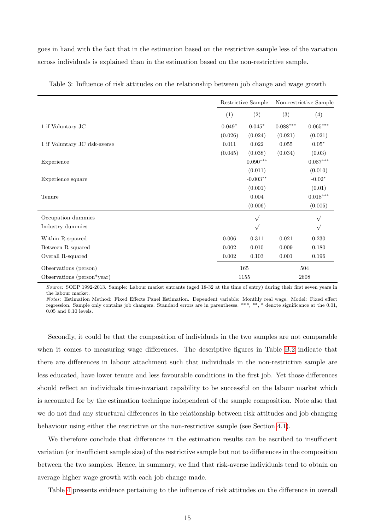goes in hand with the fact that in the estimation based on the restrictive sample less of the variation across individuals is explained than in the estimation based on the non-restrictive sample.

|                               |          | Restrictive Sample | Non-restrictive Sample |                        |  |
|-------------------------------|----------|--------------------|------------------------|------------------------|--|
|                               | (1)      | (2)                | (3)                    | (4)                    |  |
| 1 if Voluntary JC             | $0.049*$ | $0.045*$           | $0.088^{\ast\ast\ast}$ | $0.065^{\ast\ast\ast}$ |  |
|                               | (0.026)  | (0.024)            | (0.021)                | (0.021)                |  |
| 1 if Voluntary JC risk-averse | 0.011    | 0.022              | 0.055                  | $0.05*$                |  |
|                               | (0.045)  | (0.038)            | (0.034)                | (0.03)                 |  |
| Experience                    |          | $0.090^{***}\,$    |                        | $0.087***$             |  |
|                               |          | (0.011)            |                        | (0.010)                |  |
| Experience square             |          | $-0.003**$         |                        | $-0.02*$               |  |
|                               |          | (0.001)            |                        | (0.01)                 |  |
| Tenure                        |          | 0.004              |                        | $0.018***$             |  |
|                               |          | (0.006)            |                        | (0.005)                |  |
| Occupation dummies            |          | $\sqrt{ }$         |                        | $\sqrt{ }$             |  |
| Industry dummies              |          | $\sqrt{ }$         |                        | $\sqrt{ }$             |  |
| Within R-squared              | 0.006    | 0.311              | 0.021                  | 0.230                  |  |
| Between R-squared             | 0.002    | 0.010              | 0.009                  | 0.180                  |  |
| Overall R-squared             | 0.002    | 0.103              | 0.001                  | 0.196                  |  |
| Observations (person)         | 165      |                    |                        | 504                    |  |
| Observations (person*year)    | 1155     |                    |                        | 2608                   |  |

<span id="page-17-0"></span>Table 3: Influence of risk attitudes on the relationship between job change and wage growth

Source: SOEP 1992-2013. Sample: Labour market entrants (aged 18-32 at the time of entry) during their first seven years in the labour market.

Notes: Estimation Method: Fixed Effects Panel Estimation. Dependent variable: Monthly real wage. Model: Fixed effect regression. Sample only contains job changers. Standard errors are in parentheses. \*\*\*, \*\*, \* denote significance at the 0.01, 0.05 and 0.10 levels.

Secondly, it could be that the composition of individuals in the two samples are not comparable when it comes to measuring wage differences. The descriptive figures in Table [B.2](#page-25-0) indicate that there are differences in labour attachment such that individuals in the non-restrictive sample are less educated, have lower tenure and less favourable conditions in the first job. Yet those differences should reflect an individuals time-invariant capability to be successful on the labour market which is accounted for by the estimation technique independent of the sample composition. Note also that we do not find any structural differences in the relationship between risk attitudes and job changing behaviour using either the restrictive or the non-restrictive sample (see Section [4.1\)](#page-10-2).

We therefore conclude that differences in the estimation results can be ascribed to insufficient variation (or insufficient sample size) of the restrictive sample but not to differences in the composition between the two samples. Hence, in summary, we find that risk-averse individuals tend to obtain on average higher wage growth with each job change made.

Table [4](#page-18-0) presents evidence pertaining to the influence of risk attitudes on the difference in overall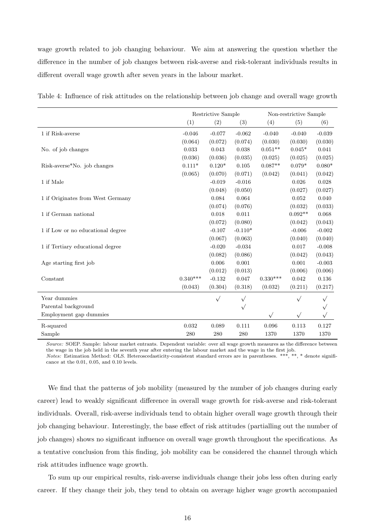wage growth related to job changing behaviour. We aim at answering the question whether the difference in the number of job changes between risk-averse and risk-tolerant individuals results in different overall wage growth after seven years in the labour market.

|                                   | Restrictive Sample |           |           | Non-restrictive Sample |           |             |  |
|-----------------------------------|--------------------|-----------|-----------|------------------------|-----------|-------------|--|
|                                   | (1)                | (2)       | (3)       | (4)                    | (5)       | (6)         |  |
| 1 if Risk-averse                  | $-0.046$           | $-0.077$  | $-0.062$  | $-0.040$               | $-0.040$  | $-0.039$    |  |
|                                   | (0.064)            | (0.072)   | (0.074)   | (0.030)                | (0.030)   | (0.030)     |  |
| No. of job changes                | 0.033              | 0.043     | 0.038     | $0.051**$              | $0.045*$  | $\,0.041\,$ |  |
|                                   | (0.036)            | (0.036)   | (0.035)   | (0.025)                | (0.025)   | (0.025)     |  |
| Risk-averse*No. job changes       | $0.111*$           | $0.120*$  | 0.105     | $0.087**$              | $0.079*$  | $0.080*$    |  |
|                                   | (0.065)            | (0.070)   | (0.071)   | (0.042)                | (0.041)   | (0.042)     |  |
| 1 if Male                         |                    | $-0.019$  | $-0.016$  |                        | 0.026     | 0.028       |  |
|                                   |                    | (0.048)   | (0.050)   |                        | (0.027)   | (0.027)     |  |
| 1 if Originates from West Germany |                    | 0.084     | 0.064     |                        | 0.052     | 0.040       |  |
|                                   |                    | (0.074)   | (0.076)   |                        | (0.032)   | (0.033)     |  |
| 1 if German national              |                    | 0.018     | 0.011     |                        | $0.092**$ | 0.068       |  |
|                                   |                    | (0.072)   | (0.080)   |                        | (0.042)   | (0.043)     |  |
| 1 if Low or no educational degree |                    | $-0.107$  | $-0.110*$ |                        | $-0.006$  | $-0.002$    |  |
|                                   |                    | (0.067)   | (0.063)   |                        | (0.040)   | (0.040)     |  |
| 1 if Tertiary educational degree  |                    | $-0.020$  | $-0.034$  |                        | 0.017     | $-0.008$    |  |
|                                   |                    | (0.082)   | (0.086)   |                        | (0.042)   | (0.043)     |  |
| Age starting first job            |                    | 0.006     | 0.001     |                        | 0.001     | $-0.003$    |  |
|                                   |                    | (0.012)   | (0.013)   |                        | (0.006)   | (0.006)     |  |
| Constant                          | $0.340***$         | $-0.132$  | 0.047     | $0.330***$             | 0.042     | 0.136       |  |
|                                   | (0.043)            | (0.304)   | (0.318)   | (0.032)                | (0.211)   | (0.217)     |  |
| Year dummies                      |                    | $\sqrt{}$ | $\sqrt{}$ |                        | $\sqrt{}$ | $\sqrt{}$   |  |
| Parental background               |                    |           | $\sqrt{}$ |                        |           | $\sqrt{}$   |  |
| Employment gap dummies            |                    |           |           | $\sqrt{ }$             | $\sqrt{}$ | $\sqrt{}$   |  |
| R-squared                         | 0.032              | 0.089     | 0.111     | 0.096                  | 0.113     | 0.127       |  |
| Sample                            | 280                | 280       | 280       | 1370                   | 1370      | 1370        |  |

<span id="page-18-0"></span>Table 4: Influence of risk attitudes on the relationship between job change and overall wage growth

Source: SOEP. Sample: labour market entrants. Dependent variable: over all wage growth measures as the difference between the wage in the job held in the seventh year after entering the labour market and the wage in the first job. Notes: Estimation Method: OLS. Heteroscedasticity-consistent standard errors are in parentheses. \*\*\*, \*\*, \* denote significance at the 0.01, 0.05, and 0.10 levels.

We find that the patterns of job mobility (measured by the number of job changes during early career) lead to weakly significant difference in overall wage growth for risk-averse and risk-tolerant individuals. Overall, risk-averse individuals tend to obtain higher overall wage growth through their job changing behaviour. Interestingly, the base effect of risk attitudes (partialling out the number of job changes) shows no significant influence on overall wage growth throughout the specifications. As a tentative conclusion from this finding, job mobility can be considered the channel through which risk attitudes influence wage growth.

To sum up our empirical results, risk-averse individuals change their jobs less often during early career. If they change their job, they tend to obtain on average higher wage growth accompanied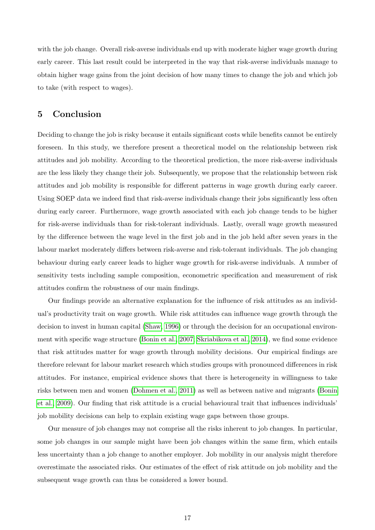with the job change. Overall risk-averse individuals end up with moderate higher wage growth during early career. This last result could be interpreted in the way that risk-averse individuals manage to obtain higher wage gains from the joint decision of how many times to change the job and which job to take (with respect to wages).

## 5 Conclusion

Deciding to change the job is risky because it entails significant costs while benefits cannot be entirely foreseen. In this study, we therefore present a theoretical model on the relationship between risk attitudes and job mobility. According to the theoretical prediction, the more risk-averse individuals are the less likely they change their job. Subsequently, we propose that the relationship between risk attitudes and job mobility is responsible for different patterns in wage growth during early career. Using SOEP data we indeed find that risk-averse individuals change their jobs significantly less often during early career. Furthermore, wage growth associated with each job change tends to be higher for risk-averse individuals than for risk-tolerant individuals. Lastly, overall wage growth measured by the difference between the wage level in the first job and in the job held after seven years in the labour market moderately differs between risk-averse and risk-tolerant individuals. The job changing behaviour during early career leads to higher wage growth for risk-averse individuals. A number of sensitivity tests including sample composition, econometric specification and measurement of risk attitudes confirm the robustness of our main findings.

Our findings provide an alternative explanation for the influence of risk attitudes as an individual's productivity trait on wage growth. While risk attitudes can influence wage growth through the decision to invest in human capital [\(Shaw, 1996\)](#page-23-4) or through the decision for an occupational environment with specific wage structure [\(Bonin et al., 2007;](#page-21-6) [Skriabikova et al., 2014\)](#page-23-5), we find some evidence that risk attitudes matter for wage growth through mobility decisions. Our empirical findings are therefore relevant for labour market research which studies groups with pronounced differences in risk attitudes. For instance, empirical evidence shows that there is heterogeneity in willingness to take risks between men and women [\(Dohmen et al., 2011\)](#page-21-10) as well as between native and migrants [\(Bonin](#page-21-17) [et al., 2009\)](#page-21-17). Our finding that risk attitude is a crucial behavioural trait that influences individuals' job mobility decisions can help to explain existing wage gaps between those groups.

Our measure of job changes may not comprise all the risks inherent to job changes. In particular, some job changes in our sample might have been job changes within the same firm, which entails less uncertainty than a job change to another employer. Job mobility in our analysis might therefore overestimate the associated risks. Our estimates of the effect of risk attitude on job mobility and the subsequent wage growth can thus be considered a lower bound.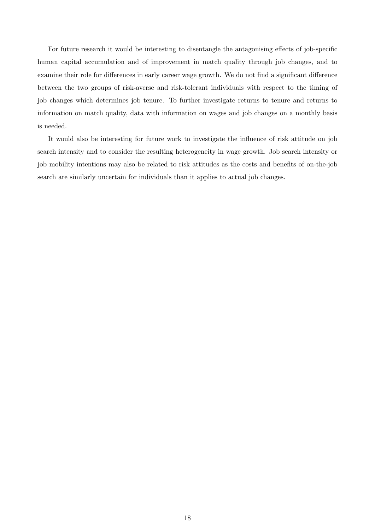For future research it would be interesting to disentangle the antagonising effects of job-specific human capital accumulation and of improvement in match quality through job changes, and to examine their role for differences in early career wage growth. We do not find a significant difference between the two groups of risk-averse and risk-tolerant individuals with respect to the timing of job changes which determines job tenure. To further investigate returns to tenure and returns to information on match quality, data with information on wages and job changes on a monthly basis is needed.

It would also be interesting for future work to investigate the influence of risk attitude on job search intensity and to consider the resulting heterogeneity in wage growth. Job search intensity or job mobility intentions may also be related to risk attitudes as the costs and benefits of on-the-job search are similarly uncertain for individuals than it applies to actual job changes.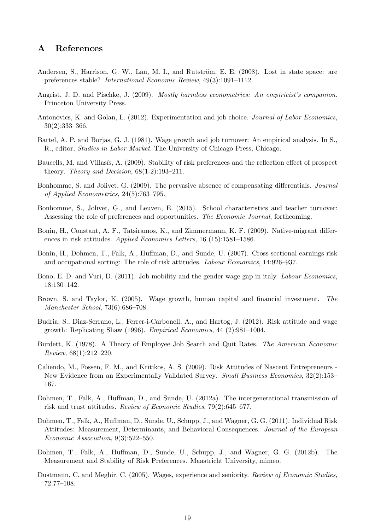## A References

- <span id="page-21-11"></span>Andersen, S., Harrison, G. W., Lau, M. I., and Rutström, E. E. (2008). Lost in state space: are preferences stable? International Economic Review, 49(3):1091–1112.
- <span id="page-21-16"></span>Angrist, J. D. and Pischke, J. (2009). *Mostly harmless econometrics: An empiricist's companion.* Princeton University Press.
- <span id="page-21-2"></span>Antonovics, K. and Golan, L. (2012). Experimentation and job choice. Journal of Labor Economics, 30(2):333–366.
- <span id="page-21-7"></span>Bartel, A. P. and Borjas, G. J. (1981). Wage growth and job turnover: An empirical analysis. In S., R., editor, *Studies in Labor Market*. The University of Chicago Press, Chicago.
- <span id="page-21-12"></span>Baucells, M. and Villasís, A. (2009). Stability of risk preferences and the reflection effect of prospect theory. Theory and Decision, 68(1-2):193–211.
- <span id="page-21-0"></span>Bonhomme, S. and Jolivet, G. (2009). The pervasive absence of compensating differentials. Journal of Applied Econometrics, 24(5):763–795.
- <span id="page-21-1"></span>Bonhomme, S., Jolivet, G., and Leuven, E. (2015). School characteristics and teacher turnover: Assessing the role of preferences and opportunities. The Economic Journal, forthcoming.
- <span id="page-21-17"></span>Bonin, H., Constant, A. F., Tatsiramos, K., and Zimmermann, K. F. (2009). Native-migrant differences in risk attitudes. Applied Economics Letters, 16 (15):1581–1586.
- <span id="page-21-6"></span>Bonin, H., Dohmen, T., Falk, A., Huffman, D., and Sunde, U. (2007). Cross-sectional earnings risk and occupational sorting: The role of risk attitudes. Labour Economics, 14:926–937.
- <span id="page-21-15"></span>Bono, E. D. and Vuri, D. (2011). Job mobility and the gender wage gap in italy. Labour Economics, 18:130–142.
- <span id="page-21-3"></span>Brown, S. and Taylor, K. (2005). Wage growth, human capital and financial investment. The Manchester School, 73(6):686–708.
- <span id="page-21-4"></span>Budria, S., Diaz-Serrano, L., Ferrer-i-Carbonell, A., and Hartog, J. (2012). Risk attitude and wage growth: Replicating Shaw (1996). Empirical Economics, 44 (2):981–1004.
- <span id="page-21-9"></span>Burdett, K. (1978). A Theory of Employee Job Search and Quit Rates. The American Economic Review, 68(1):212–220.
- <span id="page-21-5"></span>Caliendo, M., Fossen, F. M., and Kritikos, A. S. (2009). Risk Attitudes of Nascent Entrepreneurs - New Evidence from an Experimentally Validated Survey. Small Business Economics, 32(2):153– 167.
- <span id="page-21-14"></span>Dohmen, T., Falk, A., Huffman, D., and Sunde, U. (2012a). The intergenerational transmission of risk and trust attitudes. Review of Economic Studies, 79(2):645–677.
- <span id="page-21-10"></span>Dohmen, T., Falk, A., Huffman, D., Sunde, U., Schupp, J., and Wagner, G. G. (2011). Individual Risk Attitudes: Measurement, Determinants, and Behavioral Consequences. Journal of the European Economic Association, 9(3):522–550.
- <span id="page-21-13"></span>Dohmen, T., Falk, A., Huffman, D., Sunde, U., Schupp, J., and Wagner, G. G. (2012b). The Measurement and Stability of Risk Preferences. Maastricht University, mimeo.
- <span id="page-21-8"></span>Dustmann, C. and Meghir, C. (2005). Wages, experience and seniority. Review of Economic Studies, 72:77–108.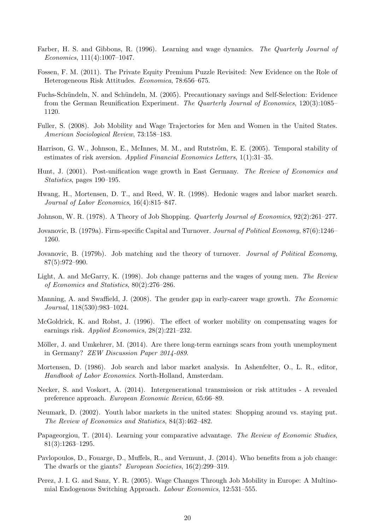- <span id="page-22-3"></span>Farber, H. S. and Gibbons, R. (1996). Learning and wage dynamics. The Quarterly Journal of Economics, 111(4):1007–1047.
- <span id="page-22-5"></span>Fossen, F. M. (2011). The Private Equity Premium Puzzle Revisited: New Evidence on the Role of Heterogeneous Risk Attitudes. Economica, 78:656–675.
- <span id="page-22-6"></span>Fuchs-Schündeln, N. and Schündeln, M. (2005). Precautionary savings and Self-Selection: Evidence from the German Reunification Experiment. The Quarterly Journal of Economics, 120(3):1085– 1120.
- <span id="page-22-16"></span>Fuller, S. (2008). Job Mobility and Wage Trajectories for Men and Women in the United States. American Sociological Review, 73:158–183.
- <span id="page-22-17"></span>Harrison, G. W., Johnson, E., McInnes, M. M., and Rutström, E. E. (2005). Temporal stability of estimates of risk aversion. Applied Financial Economics Letters, 1(1):31–35.
- <span id="page-22-15"></span>Hunt, J. (2001). Post-unification wage growth in East Germany. The Review of Economics and Statistics, pages 190–195.
- <span id="page-22-8"></span>Hwang, H., Mortensen, D. T., and Reed, W. R. (1998). Hedonic wages and labor market search. Journal of Labor Economics, 16(4):815–847.
- <span id="page-22-11"></span>Johnson, W. R. (1978). A Theory of Job Shopping. Quarterly Journal of Economics, 92(2):261–277.
- <span id="page-22-9"></span>Jovanovic, B. (1979a). Firm-specific Capital and Turnover. Journal of Political Economy, 87(6):1246– 1260.
- <span id="page-22-10"></span>Jovanovic, B. (1979b). Job matching and the theory of turnover. *Journal of Political Economy*, 87(5):972–990.
- <span id="page-22-0"></span>Light, A. and McGarry, K. (1998). Job change patterns and the wages of young men. The Review of Economics and Statistics, 80(2):276–286.
- <span id="page-22-18"></span>Manning, A. and Swaffield, J. (2008). The gender gap in early-career wage growth. The Economic Journal, 118(530):983–1024.
- <span id="page-22-12"></span>McGoldrick, K. and Robst, J. (1996). The effect of worker mobility on compensating wages for earnings risk. Applied Economics, 28(2):221–232.
- <span id="page-22-2"></span>Möller, J. and Umkehrer, M. (2014). Are there long-term earnings scars from youth unemployment in Germany? ZEW Discussion Paper 2014-089.
- <span id="page-22-7"></span>Mortensen, D. (1986). Job search and labor market analysis. In Ashenfelter, O., L. R., editor, Handbook of Labor Economics. North-Holland, Amsterdam.
- <span id="page-22-19"></span>Necker, S. and Voskort, A. (2014). Intergenerational transmission or risk attitudes - A revealed preference approach. European Economic Review, 65:66–89.
- <span id="page-22-1"></span>Neumark, D. (2002). Youth labor markets in the united states: Shopping around vs. staying put. The Review of Economics and Statistics, 84(3):462–482.
- <span id="page-22-4"></span>Papageorgiou, T. (2014). Learning your comparative advantage. The Review of Economic Studies, 81(3):1263–1295.
- <span id="page-22-14"></span>Pavlopoulos, D., Fouarge, D., Muffels, R., and Vermunt, J. (2014). Who benefits from a job change: The dwarfs or the giants? *European Societies*, 16(2):299–319.
- <span id="page-22-13"></span>Perez, J. I. G. and Sanz, Y. R. (2005). Wage Changes Through Job Mobility in Europe: A Multinomial Endogenous Switching Approach. Labour Economics, 12:531–555.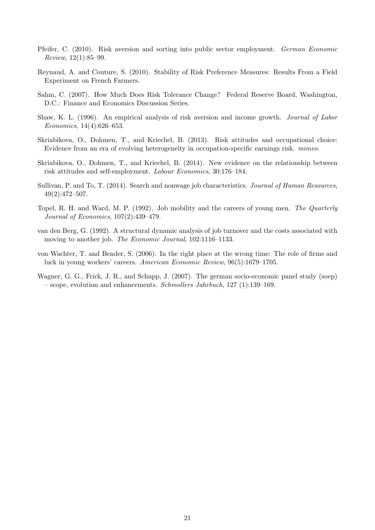- <span id="page-23-10"></span>Pfeifer, C. (2010). Risk aversion and sorting into public sector employment. German Economic Review, 12(1):85–99.
- <span id="page-23-8"></span>Reynaud, A. and Couture, S. (2010). Stability of Risk Preference Measures: Results From a Field Experiment on French Farmers.
- <span id="page-23-7"></span>Sahm, C. (2007). How Much Does Risk Tolerance Change? Federal Reserve Board, Washington, D.C.: Finance and Economics Discussion Series.
- <span id="page-23-4"></span>Shaw, K. L. (1996). An empirical analysis of risk aversion and income growth. Journal of Labor Economics, 14(4):626–653.
- <span id="page-23-9"></span>Skriabikova, O., Dohmen, T., and Kriechel, B. (2013). Risk attitudes and occupational choice: Evidence from an era of evolving heterogeneity in occupation-specific earnings risk. mimeo.
- <span id="page-23-5"></span>Skriabikova, O., Dohmen, T., and Kriechel, B. (2014). New evidence on the relationship between risk attitudes and self-employment. Labour Economics, 30:176–184.
- <span id="page-23-2"></span>Sullivan, P. and To, T. (2014). Search and nonwage job characteristics. Journal of Human Resources, 49(2):472–507.
- <span id="page-23-0"></span>Topel, R. H. and Ward, M. P. (1992). Job mobility and the careers of young men. The Quarterly Journal of Economics, 107(2):439–479.
- <span id="page-23-3"></span>van den Berg, G. (1992). A structural dynamic analysis of job turnover and the costs associated with moving to another job. The Economic Journal, 102:1116–1133.
- <span id="page-23-1"></span>von Wachter, T. and Bender, S. (2006). In the right place at the wrong time: The role of firms and luck in young workers' careers. American Economic Review, 96(5):1679–1705.
- <span id="page-23-6"></span>Wagner, G. G., Frick, J. R., and Schupp, J. (2007). The german socio-economic panel study (soep) – scope, evolution and enhancements. Schmollers Jahrbuch, 127 (1):139–169.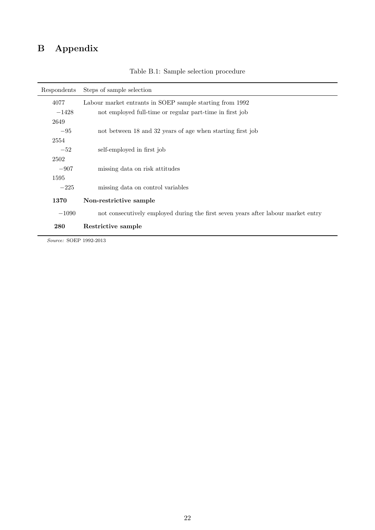# B Appendix

<span id="page-24-0"></span>

| Respondents | Steps of sample selection                                                         |  |  |  |  |  |
|-------------|-----------------------------------------------------------------------------------|--|--|--|--|--|
| 4077        | Labour market entrants in SOEP sample starting from 1992                          |  |  |  |  |  |
| $-1428$     | not employed full-time or regular part-time in first job                          |  |  |  |  |  |
| 2649        |                                                                                   |  |  |  |  |  |
| $-95$       | not between 18 and 32 years of age when starting first job                        |  |  |  |  |  |
| 2554        |                                                                                   |  |  |  |  |  |
| $-52$       | self-employed in first job                                                        |  |  |  |  |  |
| 2502        |                                                                                   |  |  |  |  |  |
| $-907$      | missing data on risk attitudes                                                    |  |  |  |  |  |
| 1595        |                                                                                   |  |  |  |  |  |
| $-225$      | missing data on control variables                                                 |  |  |  |  |  |
| 1370        | Non-restrictive sample                                                            |  |  |  |  |  |
| $-1090$     | not consecutively employed during the first seven years after labour market entry |  |  |  |  |  |
| 280         | Restrictive sample                                                                |  |  |  |  |  |

Table B.1: Sample selection procedure

Source: SOEP 1992-2013